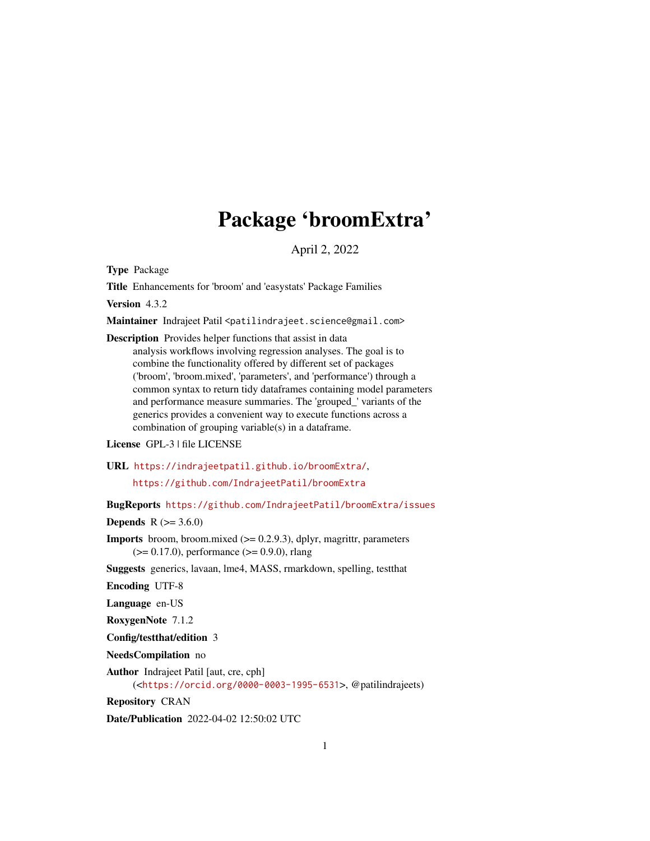## Package 'broomExtra'

April 2, 2022

<span id="page-0-0"></span>Type Package

Title Enhancements for 'broom' and 'easystats' Package Families

Version 4.3.2

Maintainer Indrajeet Patil <patilindrajeet.science@gmail.com>

Description Provides helper functions that assist in data analysis workflows involving regression analyses. The goal is to combine the functionality offered by different set of packages ('broom', 'broom.mixed', 'parameters', and 'performance') through a common syntax to return tidy dataframes containing model parameters and performance measure summaries. The 'grouped\_' variants of the generics provides a convenient way to execute functions across a combination of grouping variable(s) in a dataframe.

License GPL-3 | file LICENSE

URL <https://indrajeetpatil.github.io/broomExtra/>,

<https://github.com/IndrajeetPatil/broomExtra>

BugReports <https://github.com/IndrajeetPatil/broomExtra/issues>

**Depends** R  $(>= 3.6.0)$ 

**Imports** broom, broom.mixed  $(>= 0.2.9.3)$ , dplyr, magrittr, parameters  $(>= 0.17.0)$ , performance  $(>= 0.9.0)$ , rlang

Suggests generics, lavaan, lme4, MASS, rmarkdown, spelling, testthat

Encoding UTF-8

Language en-US

RoxygenNote 7.1.2

Config/testthat/edition 3

NeedsCompilation no

Author Indrajeet Patil [aut, cre, cph] (<<https://orcid.org/0000-0003-1995-6531>>, @patilindrajeets)

Repository CRAN

Date/Publication 2022-04-02 12:50:02 UTC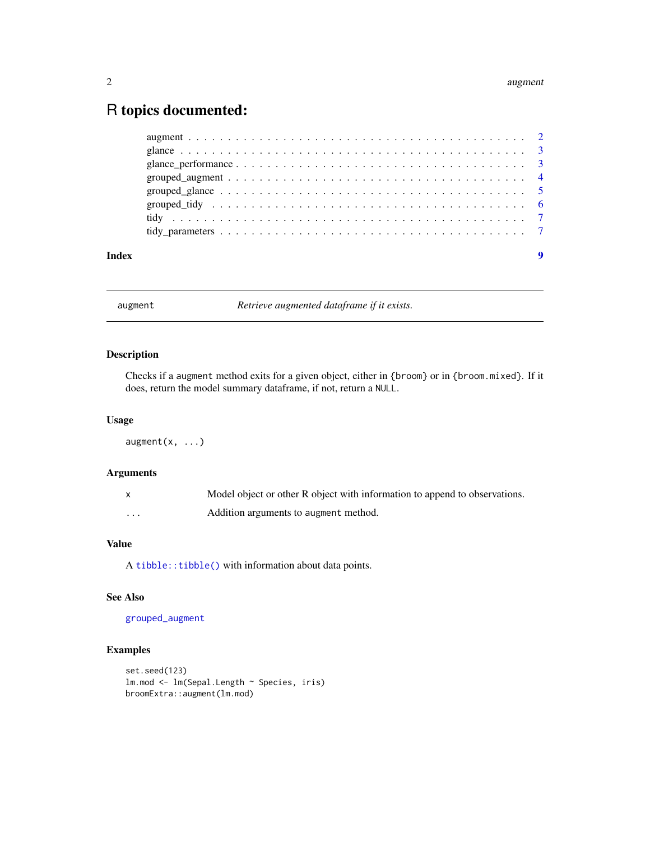### <span id="page-1-0"></span>R topics documented:

| Index | $\boldsymbol{9}$ |  |
|-------|------------------|--|

<span id="page-1-1"></span>augment *Retrieve augmented dataframe if it exists.*

#### Description

Checks if a augment method exits for a given object, either in {broom} or in {broom.mixed}. If it does, return the model summary dataframe, if not, return a NULL.

#### Usage

 $augment(x, ...)$ 

### Arguments

|   | Model object or other R object with information to append to observations. |
|---|----------------------------------------------------------------------------|
| . | Addition arguments to augment method.                                      |

#### Value

A [tibble::tibble\(\)](#page-0-0) with information about data points.

#### See Also

[grouped\\_augment](#page-3-1)

```
set.seed(123)
lm.mod <- lm(Sepal.Length ~ Species, iris)
broomExtra::augment(lm.mod)
```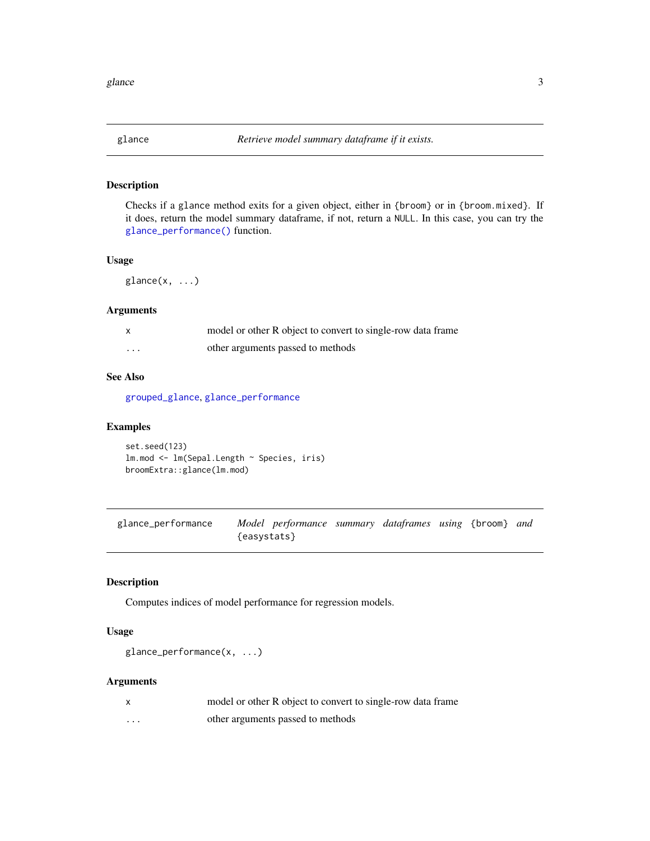<span id="page-2-2"></span><span id="page-2-0"></span>

#### Description

Checks if a glance method exits for a given object, either in {broom} or in {broom.mixed}. If it does, return the model summary dataframe, if not, return a NULL. In this case, you can try the [glance\\_performance\(\)](#page-2-1) function.

#### Usage

 $glance(x, \ldots)$ 

#### Arguments

|          | model or other R object to convert to single-row data frame |
|----------|-------------------------------------------------------------|
| $\cdots$ | other arguments passed to methods                           |

#### See Also

[grouped\\_glance](#page-4-1), [glance\\_performance](#page-2-1)

#### Examples

set.seed(123) lm.mod <- lm(Sepal.Length ~ Species, iris) broomExtra::glance(lm.mod)

<span id="page-2-1"></span>glance\_performance *Model performance summary dataframes using* {broom} *and* {easystats}

#### Description

Computes indices of model performance for regression models.

#### Usage

```
glance_performance(x, ...)
```
#### Arguments

|   | model or other R object to convert to single-row data frame |
|---|-------------------------------------------------------------|
| . | other arguments passed to methods                           |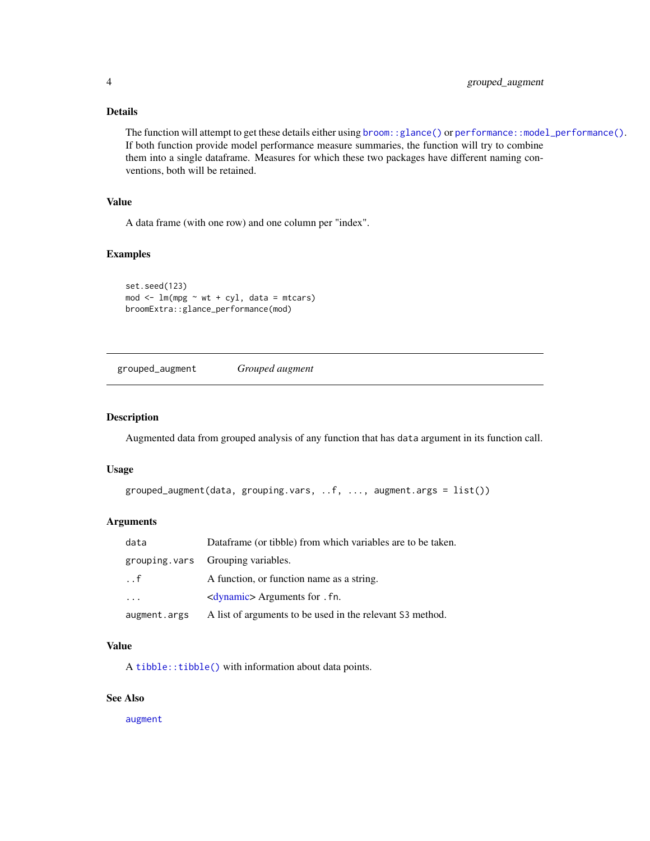#### <span id="page-3-0"></span>Details

The function will attempt to get these details either using [broom::glance\(\)](#page-0-0) or [performance::model\\_performance\(\)](#page-0-0). If both function provide model performance measure summaries, the function will try to combine them into a single dataframe. Measures for which these two packages have different naming conventions, both will be retained.

#### Value

A data frame (with one row) and one column per "index".

#### Examples

```
set.seed(123)
mod < -\text{lm}(mpg \sim wt + cyl, data = mtcars)broomExtra::glance_performance(mod)
```
<span id="page-3-1"></span>grouped\_augment *Grouped augment*

#### Description

Augmented data from grouped analysis of any function that has data argument in its function call.

#### Usage

```
grouped_augment(data, grouping.vars, ..f, ..., augment.args = list())
```
#### Arguments

| data         | Dataframe (or tibble) from which variables are to be taken. |
|--------------|-------------------------------------------------------------|
|              | grouping vars Grouping variables.                           |
| $\cdot$ . f  | A function, or function name as a string.                   |
| $\ddots$ .   | <dynamic> Arguments for . fn.</dynamic>                     |
| augment.args | A list of arguments to be used in the relevant S3 method.   |

#### Value

A [tibble::tibble\(\)](#page-0-0) with information about data points.

#### See Also

[augment](#page-1-1)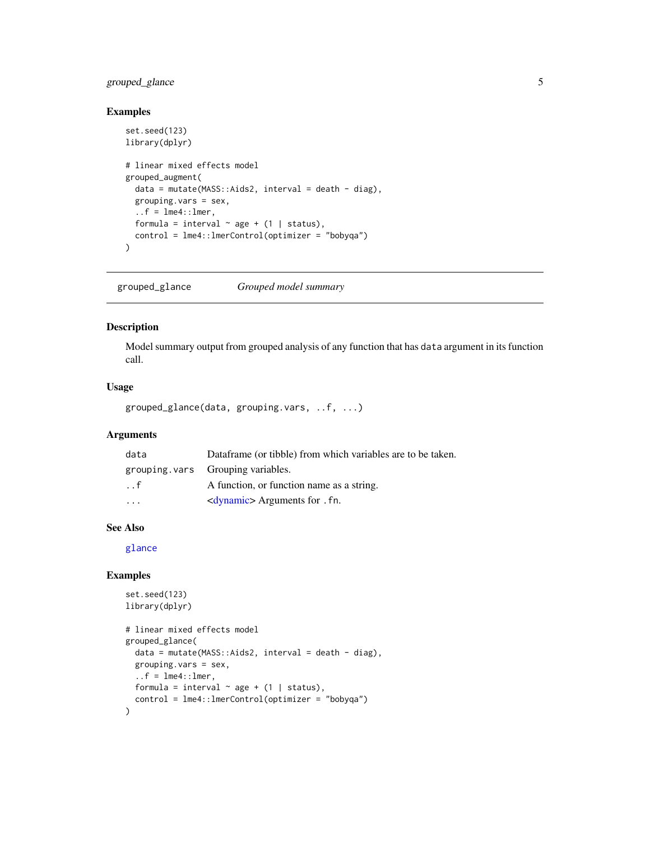#### <span id="page-4-0"></span>grouped\_glance 5

#### Examples

```
set.seed(123)
library(dplyr)
# linear mixed effects model
grouped_augment(
  data = mutate(MASS::Aids2, interval = death - diag),grouping.vars = sex,
  \ldots f = \text{lme4}::\text{lmer},
  formula = interval \sim age + (1 | status),
  control = lme4::lmerControl(optimizer = "bobyqa")
\mathcal{L}
```
<span id="page-4-1"></span>grouped\_glance *Grouped model summary*

#### Description

Model summary output from grouped analysis of any function that has data argument in its function call.

#### Usage

grouped\_glance(data, grouping.vars, ..f, ...)

#### Arguments

| data                    | Dataframe (or tibble) from which variables are to be taken. |
|-------------------------|-------------------------------------------------------------|
|                         | grouping vars Grouping variables.                           |
| $\ldots$ f              | A function, or function name as a string.                   |
| $\cdot$ $\cdot$ $\cdot$ | <dynamic> Arguments for . fn.</dynamic>                     |

#### See Also

[glance](#page-2-2)

```
set.seed(123)
library(dplyr)
# linear mixed effects model
grouped_glance(
  data = mutate(MASS::Aids2, interval = death - diag),grouping.vars = sex,
  \ldots f = \text{lm}e4::\text{l}mer,formula = interval \sim age + (1 | status),
  control = lme4::lmerControl(optimizer = "bobyqa")
\overline{)}
```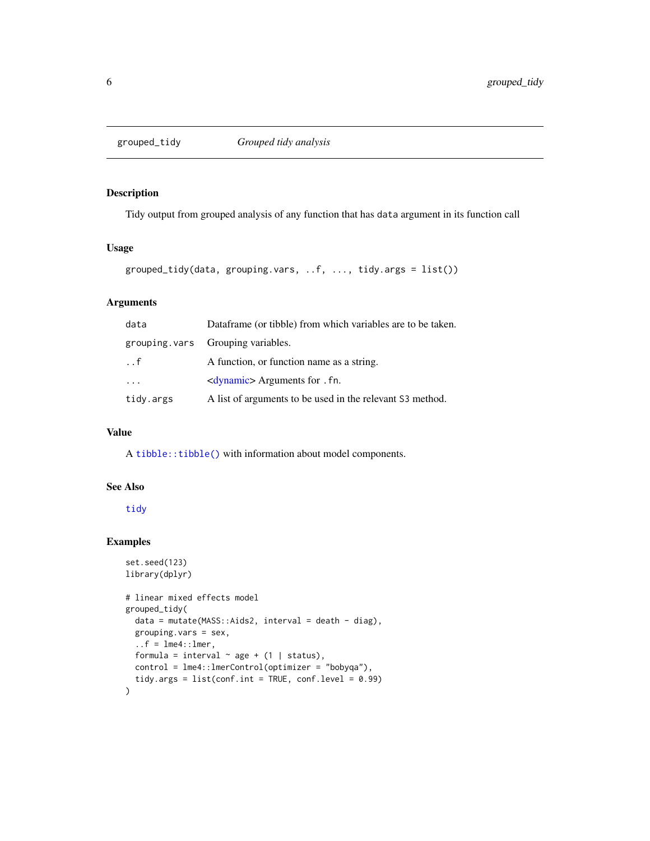<span id="page-5-1"></span><span id="page-5-0"></span>

#### Description

Tidy output from grouped analysis of any function that has data argument in its function call

#### Usage

```
grouped_tidy(data, grouping.vars, ..f, ..., tidy.args = list())
```
#### Arguments

| data                    | Dataframe (or tibble) from which variables are to be taken. |
|-------------------------|-------------------------------------------------------------|
|                         | grouping vars Grouping variables.                           |
| $\cdot$ . f             | A function, or function name as a string.                   |
| $\cdot$ $\cdot$ $\cdot$ | <dynamic> Arguments for . fn.</dynamic>                     |
| tidy.args               | A list of arguments to be used in the relevant S3 method.   |

#### Value

A [tibble::tibble\(\)](#page-0-0) with information about model components.

#### See Also

[tidy](#page-6-1)

```
set.seed(123)
library(dplyr)
# linear mixed effects model
grouped_tidy(
  data = mutate(MASS::Aids2, interval = death - diag),
  grouping.vars = sex,
  \ldots f = \text{lme4}::\text{lmer},
  formula = interval \sim age + (1 | status),
  control = lme4::lmerControl(optimizer = "bobyqa"),
  tidy.args = list(conf.int = TRUE, conf.level = 0.99)\mathcal{L}
```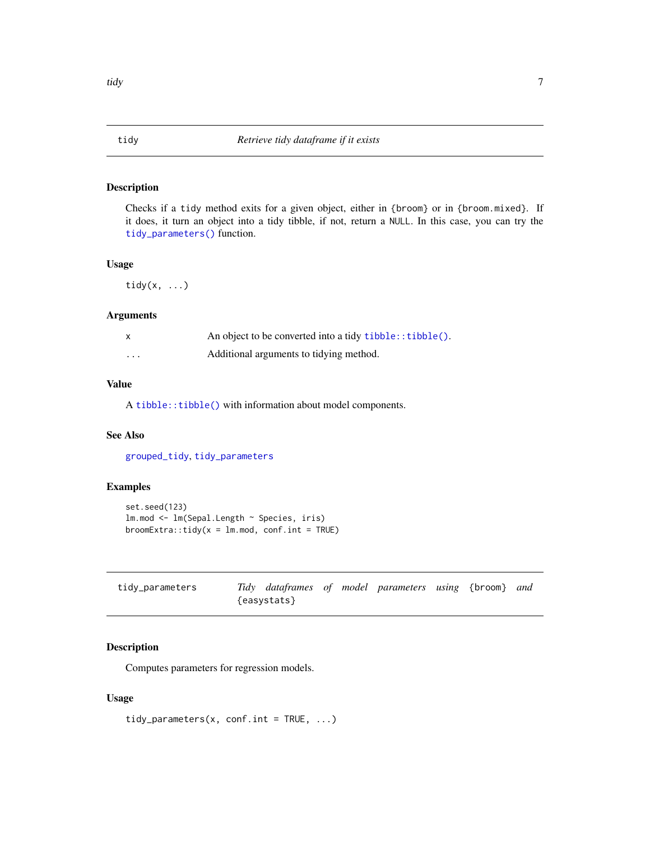#### <span id="page-6-1"></span><span id="page-6-0"></span>Description

Checks if a tidy method exits for a given object, either in {broom} or in {broom.mixed}. If it does, it turn an object into a tidy tibble, if not, return a NULL. In this case, you can try the [tidy\\_parameters\(\)](#page-6-2) function.

#### Usage

tidy $(x, \ldots)$ 

#### Arguments

|   | An object to be converted into a tidy tibble:: tibble(). |
|---|----------------------------------------------------------|
| . | Additional arguments to tidying method.                  |

#### Value

A [tibble::tibble\(\)](#page-0-0) with information about model components.

#### See Also

[grouped\\_tidy](#page-5-1), [tidy\\_parameters](#page-6-2)

#### Examples

```
set.seed(123)
lm.mod <- lm(Sepal.Length ~ Species, iris)
broomExtra::tidy(x = lm.m.mod, conf.int = TRUE)
```
<span id="page-6-2"></span>

| tidy_parameters |             |  | Tidy dataframes of model parameters using {broom} and |  |  |
|-----------------|-------------|--|-------------------------------------------------------|--|--|
|                 | {easystats} |  |                                                       |  |  |

#### Description

Computes parameters for regression models.

#### Usage

tidy\_parameters(x, conf.int = TRUE,  $\ldots$ )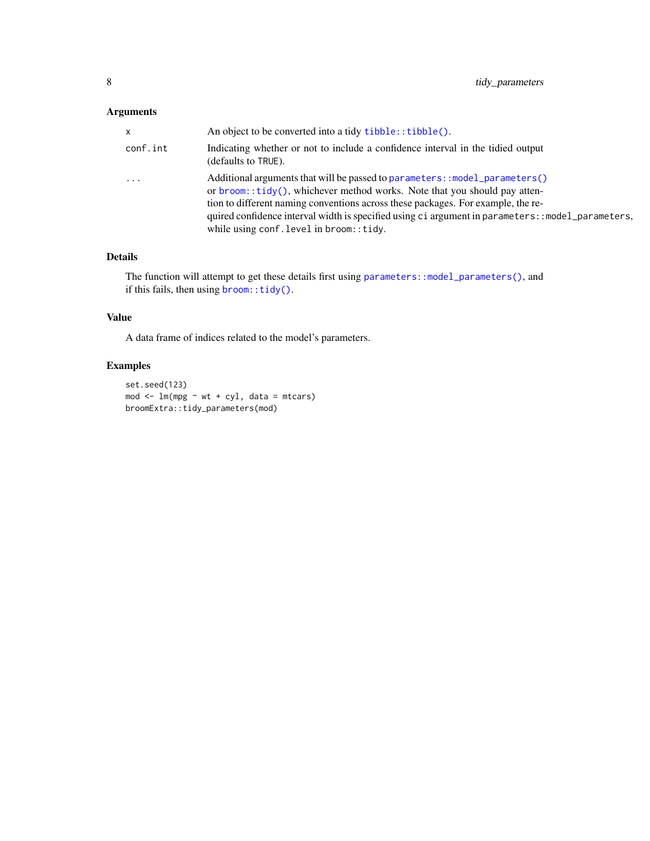### <span id="page-7-0"></span>Arguments

| x        | An object to be converted into a tidy tibble:: tibble().                                                                                                                                                                                                                                                                                                                                         |
|----------|--------------------------------------------------------------------------------------------------------------------------------------------------------------------------------------------------------------------------------------------------------------------------------------------------------------------------------------------------------------------------------------------------|
| conf.int | Indicating whether or not to include a confidence interval in the tidied output<br>(defaults to TRUE).                                                                                                                                                                                                                                                                                           |
| .        | Additional arguments that will be passed to parameters: : model_parameters()<br>or broom::tidy(), whichever method works. Note that you should pay atten-<br>tion to different naming conventions across these packages. For example, the re-<br>quired confidence interval width is specified using ci argument in parameters: : model_parameters,<br>while using conf. level in broom: : tidy. |

#### Details

The function will attempt to get these details first using [parameters::model\\_parameters\(\)](#page-0-0), and if this fails, then using [broom::tidy\(\)](#page-0-0).

#### Value

A data frame of indices related to the model's parameters.

```
set.seed(123)
mod <- lm(mpg ~ wt + cyl, data = mtcars)
broomExtra::tidy_parameters(mod)
```